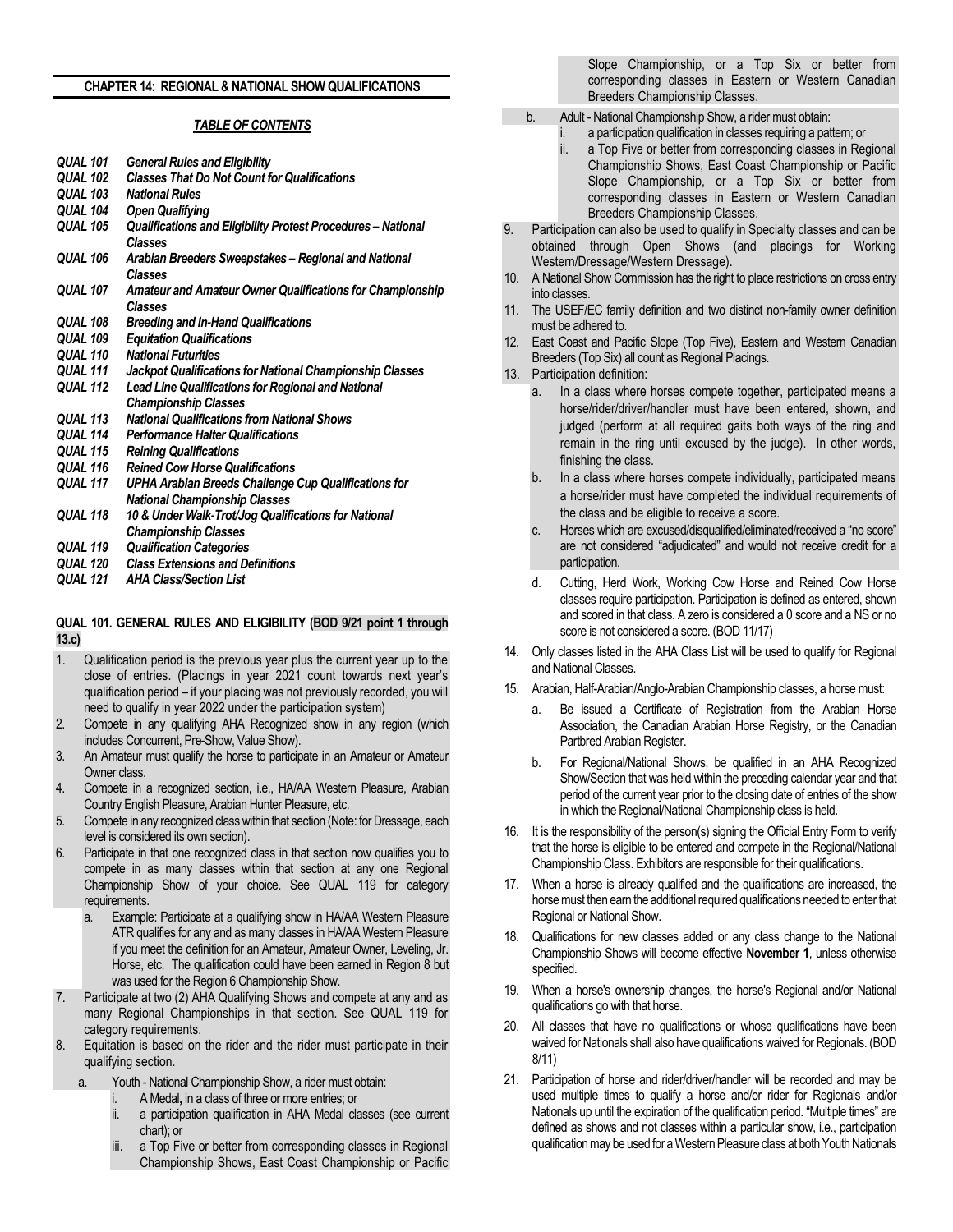### **CHAPTER 14: REGIONAL & NATIONAL SHOW QUALIFICATIONS**

#### *TABLE OF CONTENTS*

| <b>QUAL 101</b> | <b>General Rules and Eligibility</b>                                           |
|-----------------|--------------------------------------------------------------------------------|
| <b>QUAL 102</b> | <b>Classes That Do Not Count for Qualifications</b>                            |
| <b>QUAL 103</b> | <b>National Rules</b>                                                          |
| <b>OUAL 104</b> | <b>Open Qualifying</b>                                                         |
| <b>QUAL 105</b> | Qualifications and Eligibility Protest Procedures - National<br><b>Classes</b> |
| <b>QUAL 106</b> | Arabian Breeders Sweepstakes - Regional and National<br>Classes                |
| <b>QUAL 107</b> | Amateur and Amateur Owner Qualifications for Championship<br>Classes           |
| <b>QUAL 108</b> | <b>Breeding and In-Hand Qualifications</b>                                     |
| <b>QUAL 109</b> | <b>Equitation Qualifications</b>                                               |
| <b>OUAL 110</b> | <b>National Futurities</b>                                                     |
| <b>QUAL 111</b> | Jackpot Qualifications for National Championship Classes                       |
| <b>QUAL 112</b> | Lead Line Qualifications for Regional and National                             |
|                 | <b>Championship Classes</b>                                                    |
| <b>QUAL 113</b> | <b>National Qualifications from National Shows</b>                             |
| <b>QUAL 114</b> | <b>Performance Halter Qualifications</b>                                       |
| <b>QUAL 115</b> | <b>Reining Qualifications</b>                                                  |
| <b>QUAL 116</b> | <b>Reined Cow Horse Qualifications</b>                                         |
| QUAL 117        | UPHA Arabian Breeds Challenge Cup Qualifications for                           |
|                 | <b>National Championship Classes</b>                                           |
| <b>QUAL 118</b> | 10 & Under Walk-Trot/Jog Qualifications for National                           |
|                 | <b>Championship Classes</b>                                                    |
| <b>QUAL 119</b> | <b>Qualification Categories</b>                                                |
| <b>QUAL 120</b> | <b>Class Extensions and Definitions</b>                                        |
| <b>OUAL 121</b> | <b>AHA Class/Section List</b>                                                  |
|                 |                                                                                |
|                 |                                                                                |

## **QUAL 101. GENERAL RULES AND ELIGIBILITY (BOD 9/21 point 1 through 13.c)**

- 1. Qualification period is the previous year plus the current year up to the close of entries. (Placings in year 2021 count towards next year's qualification period – if your placing was not previously recorded, you will need to qualify in year 2022 under the participation system)
- 2. Compete in any qualifying AHA Recognized show in any region (which includes Concurrent, Pre-Show, Value Show).
- 3. An Amateur must qualify the horse to participate in an Amateur or Amateur Owner class.
- 4. Compete in a recognized section, i.e., HA/AA Western Pleasure, Arabian Country English Pleasure, Arabian Hunter Pleasure, etc.
- 5. Compete in any recognized class within that section (Note: for Dressage, each level is considered its own section).
- 6. Participate in that one recognized class in that section now qualifies you to compete in as many classes within that section at any one Regional Championship Show of your choice. See QUAL 119 for category requirements.
	- a. Example: Participate at a qualifying show in HA/AA Western Pleasure ATR qualifies for any and as many classes in HA/AA Western Pleasure if you meet the definition for an Amateur, Amateur Owner, Leveling, Jr. Horse, etc. The qualification could have been earned in Region 8 but was used for the Region 6 Championship Show.
- Participate at two (2) AHA Qualifying Shows and compete at any and as many Regional Championships in that section. See QUAL 119 for category requirements.
- 8. Equitation is based on the rider and the rider must participate in their qualifying section.
	- a. Youth National Championship Show, a rider must obtain:
		- i. A Medal**,** in a class of three or more entries; or
		- ii. a participation qualification in AHA Medal classes (see current chart); or
		- iii. a Top Five or better from corresponding classes in Regional Championship Shows, East Coast Championship or Pacific

Slope Championship, or a Top Six or better from corresponding classes in Eastern or Western Canadian Breeders Championship Classes.

- b. Adult National Championship Show, a rider must obtain:
	- i. a participation qualification in classes requiring a pattern; or<br>ii. a Top Five or better from corresponding classes in Reg
	- a Top Five or better from corresponding classes in Regional Championship Shows, East Coast Championship or Pacific Slope Championship, or a Top Six or better from corresponding classes in Eastern or Western Canadian Breeders Championship Classes.
- 9. Participation can also be used to qualify in Specialty classes and can be obtained through Open Shows (and placings for Working Western/Dressage/Western Dressage).
- 10. A National Show Commission has the right to place restrictions on cross entry into classes.
- 11. The USEF/EC family definition and two distinct non-family owner definition must be adhered to.
- 12. East Coast and Pacific Slope (Top Five), Eastern and Western Canadian Breeders (Top Six) all count as Regional Placings.
- 13. Participation definition:
	- a. In a class where horses compete together, participated means a horse/rider/driver/handler must have been entered, shown, and judged (perform at all required gaits both ways of the ring and remain in the ring until excused by the judge). In other words, finishing the class.
	- b. In a class where horses compete individually, participated means a horse/rider must have completed the individual requirements of the class and be eligible to receive a score.
	- c. Horses which are excused/disqualified/eliminated/received a "no score" are not considered "adjudicated" and would not receive credit for a participation.
	- d. Cutting, Herd Work, Working Cow Horse and Reined Cow Horse classes require participation. Participation is defined as entered, shown and scored in that class. A zero is considered a 0 score and a NS or no score is not considered a score. (BOD 11/17)
- 14. Only classes listed in the AHA Class List will be used to qualify for Regional and National Classes.
- 15. Arabian, Half-Arabian/Anglo-Arabian Championship classes, a horse must:
	- Be issued a Certificate of Registration from the Arabian Horse Association, the Canadian Arabian Horse Registry, or the Canadian Partbred Arabian Register.
	- For Regional/National Shows, be qualified in an AHA Recognized Show/Section that was held within the preceding calendar year and that period of the current year prior to the closing date of entries of the show in which the Regional/National Championship class is held.
- 16. It is the responsibility of the person(s) signing the Official Entry Form to verify that the horse is eligible to be entered and compete in the Regional/National Championship Class. Exhibitors are responsible for their qualifications.
- 17. When a horse is already qualified and the qualifications are increased, the horse must then earn the additional required qualifications needed to enter that Regional or National Show.
- 18. Qualifications for new classes added or any class change to the National Championship Shows will become effective **November 1**, unless otherwise specified.
- 19. When a horse's ownership changes, the horse's Regional and/or National qualifications go with that horse.
- 20. All classes that have no qualifications or whose qualifications have been waived for Nationals shall also have qualifications waived for Regionals. (BOD 8/11)
- 21. Participation of horse and rider/driver/handler will be recorded and may be used multiple times to qualify a horse and/or rider for Regionals and/or Nationals up until the expiration of the qualification period. "Multiple times" are defined as shows and not classes within a particular show, i.e., participation qualification may be used for a Western Pleasure class at both Youth Nationals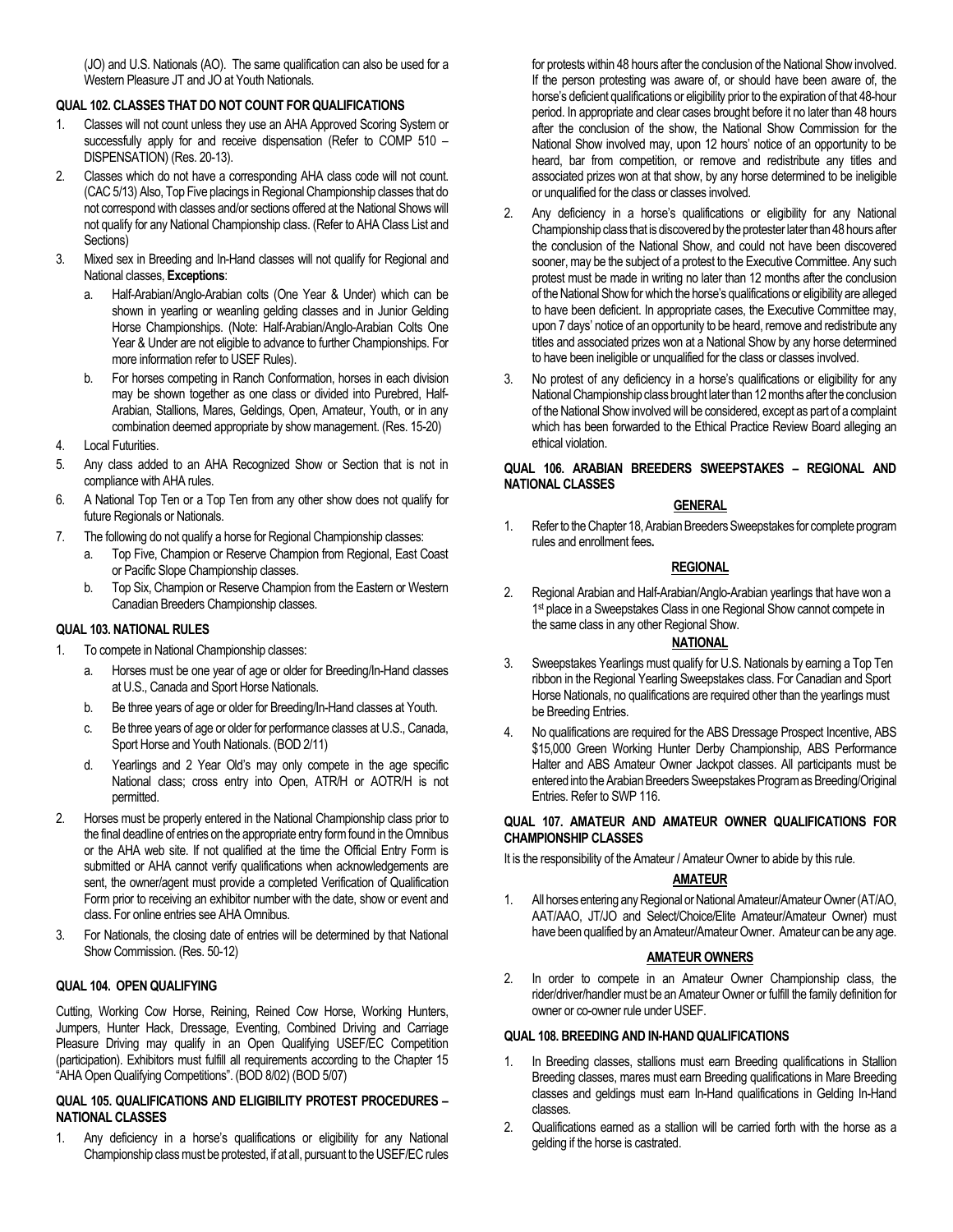(JO) and U.S. Nationals (AO). The same qualification can also be used for a Western Pleasure JT and JO at Youth Nationals.

### **QUAL 102. CLASSES THAT DO NOT COUNT FOR QUALIFICATIONS**

- 1. Classes will not count unless they use an AHA Approved Scoring System or successfully apply for and receive dispensation (Refer to COMP 510 – DISPENSATION) (Res. 20-13).
- 2. Classes which do not have a corresponding AHA class code will not count. (CAC 5/13) Also, Top Five placings in Regional Championship classes that do not correspond with classes and/or sections offered at the National Shows will not qualify for any National Championship class. (Refer to AHA Class List and Sections)
- 3. Mixed sex in Breeding and In-Hand classes will not qualify for Regional and National classes, **Exceptions**:
	- a. Half-Arabian/Anglo-Arabian colts (One Year & Under) which can be shown in yearling or weanling gelding classes and in Junior Gelding Horse Championships. (Note: Half-Arabian/Anglo-Arabian Colts One Year & Under are not eligible to advance to further Championships. For more information refer to USEF Rules).
	- b. For horses competing in Ranch Conformation, horses in each division may be shown together as one class or divided into Purebred, Half-Arabian, Stallions, Mares, Geldings, Open, Amateur, Youth, or in any combination deemed appropriate by show management. (Res. 15-20)
- 4. Local Futurities.
- 5. Any class added to an AHA Recognized Show or Section that is not in compliance with AHA rules.
- 6. A National Top Ten or a Top Ten from any other show does not qualify for future Regionals or Nationals.
- 7. The following do not qualify a horse for Regional Championship classes:
	- a. Top Five, Champion or Reserve Champion from Regional, East Coast or Pacific Slope Championship classes.
	- b. Top Six, Champion or Reserve Champion from the Eastern or Western Canadian Breeders Championship classes.

### **QUAL 103. NATIONAL RULES**

- 1. To compete in National Championship classes:
	- a. Horses must be one year of age or older for Breeding/In-Hand classes at U.S., Canada and Sport Horse Nationals.
	- b. Be three years of age or older for Breeding/In-Hand classes at Youth.
	- c. Be three years of age or older for performance classes at U.S., Canada, Sport Horse and Youth Nationals. (BOD 2/11)
	- d. Yearlings and 2 Year Old's may only compete in the age specific National class; cross entry into Open, ATR/H or AOTR/H is not permitted.
- 2. Horses must be properly entered in the National Championship class prior to the final deadline of entries on the appropriate entry form found in the Omnibus or the AHA web site. If not qualified at the time the Official Entry Form is submitted or AHA cannot verify qualifications when acknowledgements are sent, the owner/agent must provide a completed Verification of Qualification Form prior to receiving an exhibitor number with the date, show or event and class. For online entries see AHA Omnibus.
- 3. For Nationals, the closing date of entries will be determined by that National Show Commission. (Res. 50-12)

### **QUAL 104. OPEN QUALIFYING**

Cutting, Working Cow Horse, Reining, Reined Cow Horse, Working Hunters, Jumpers, Hunter Hack, Dressage, Eventing, Combined Driving and Carriage Pleasure Driving may qualify in an Open Qualifying USEF/EC Competition (participation). Exhibitors must fulfill all requirements according to the Chapter 15 "AHA Open Qualifying Competitions". (BOD 8/02) (BOD 5/07)

#### **QUAL 105. QUALIFICATIONS AND ELIGIBILITY PROTEST PROCEDURES – NATIONAL CLASSES**

1. Any deficiency in a horse's qualifications or eligibility for any National Championship class must be protested, if at all, pursuant to the USEF/EC rules

for protests within 48 hours after the conclusion of the National Show involved. If the person protesting was aware of, or should have been aware of, the horse's deficient qualifications or eligibility prior to the expiration of that 48-hour period. In appropriate and clear cases brought before it no later than 48 hours after the conclusion of the show, the National Show Commission for the National Show involved may, upon 12 hours' notice of an opportunity to be heard, bar from competition, or remove and redistribute any titles and associated prizes won at that show, by any horse determined to be ineligible or unqualified for the class or classes involved.

- 2. Any deficiency in a horse's qualifications or eligibility for any National Championship class that is discovered by the protester later than 48 hours after the conclusion of the National Show, and could not have been discovered sooner, may be the subject of a protest to the Executive Committee. Any such protest must be made in writing no later than 12 months after the conclusion of the National Show for which the horse's qualifications or eligibility are alleged to have been deficient. In appropriate cases, the Executive Committee may, upon 7 days' notice of an opportunity to be heard, remove and redistribute any titles and associated prizes won at a National Show by any horse determined to have been ineligible or unqualified for the class or classes involved.
- 3. No protest of any deficiency in a horse's qualifications or eligibility for any National Championship class brought later than 12 months after the conclusion of the National Show involved will be considered, except as part of a complaint which has been forwarded to the Ethical Practice Review Board alleging an ethical violation.

#### **QUAL 106. ARABIAN BREEDERS SWEEPSTAKES – REGIONAL AND NATIONAL CLASSES**

### **GENERAL**

1. Refer to the Chapter 18, Arabian Breeders Sweepstakes for complete program rules and enrollment fees**.**

### **REGIONAL**

2. Regional Arabian and Half-Arabian/Anglo-Arabian yearlings that have won a 1<sup>st</sup> place in a Sweepstakes Class in one Regional Show cannot compete in the same class in any other Regional Show.

## **NATIONAL**

- 3. Sweepstakes Yearlings must qualify for U.S. Nationals by earning a Top Ten ribbon in the Regional Yearling Sweepstakes class. For Canadian and Sport Horse Nationals, no qualifications are required other than the yearlings must be Breeding Entries.
- 4. No qualifications are required for the ABS Dressage Prospect Incentive, ABS \$15,000 Green Working Hunter Derby Championship, ABS Performance Halter and ABS Amateur Owner Jackpot classes. All participants must be entered into the Arabian Breeders Sweepstakes Program as Breeding/Original Entries. Refer to SWP 116.

#### **QUAL 107. AMATEUR AND AMATEUR OWNER QUALIFICATIONS FOR CHAMPIONSHIP CLASSES**

It is the responsibility of the Amateur / Amateur Owner to abide by this rule.

## **AMATEUR**

1. All horses entering any Regional or National Amateur/Amateur Owner(AT/AO, AAT/AAO, JT/JO and Select/Choice/Elite Amateur/Amateur Owner) must have been qualified by an Amateur/Amateur Owner. Amateur can be any age.

### **AMATEUR OWNERS**

2. In order to compete in an Amateur Owner Championship class, the rider/driver/handler must be an Amateur Owner or fulfill the family definition for owner or co-owner rule under USEF.

## **QUAL 108. BREEDING AND IN-HAND QUALIFICATIONS**

- 1. In Breeding classes, stallions must earn Breeding qualifications in Stallion Breeding classes, mares must earn Breeding qualifications in Mare Breeding classes and geldings must earn In-Hand qualifications in Gelding In-Hand classes.
- 2. Qualifications earned as a stallion will be carried forth with the horse as a gelding if the horse is castrated.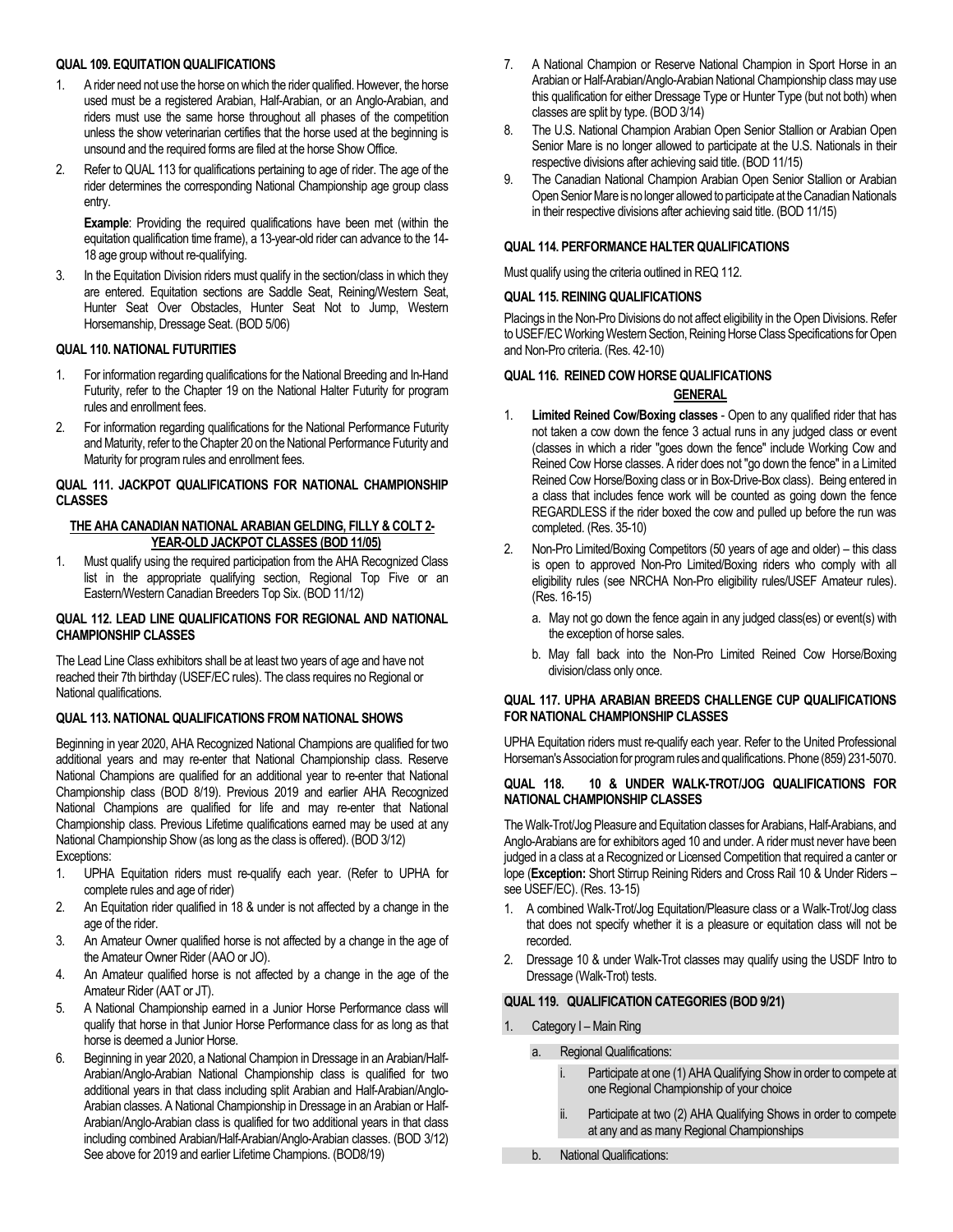# **QUAL 109. EQUITATION QUALIFICATIONS**

- 1. A rider need not use the horse on which the rider qualified. However, the horse used must be a registered Arabian, Half-Arabian, or an Anglo-Arabian, and riders must use the same horse throughout all phases of the competition unless the show veterinarian certifies that the horse used at the beginning is unsound and the required forms are filed at the horse Show Office.
- 2. Refer to QUAL 113 for qualifications pertaining to age of rider. The age of the rider determines the corresponding National Championship age group class entry.

**Example**: Providing the required qualifications have been met (within the equitation qualification time frame), a 13-year-old rider can advance to the 14- 18 age group without re-qualifying.

3. In the Equitation Division riders must qualify in the section/class in which they are entered. Equitation sections are Saddle Seat, Reining/Western Seat, Hunter Seat Over Obstacles, Hunter Seat Not to Jump, Western Horsemanship, Dressage Seat. (BOD 5/06)

# **QUAL 110. NATIONAL FUTURITIES**

- 1. For information regarding qualifications for the National Breeding and In-Hand Futurity, refer to the Chapter 19 on the National Halter Futurity for program rules and enrollment fees.
- 2. For information regarding qualifications for the National Performance Futurity and Maturity, refer to the Chapter 20 on the National Performance Futurity and Maturity for program rules and enrollment fees.

## **QUAL 111. JACKPOT QUALIFICATIONS FOR NATIONAL CHAMPIONSHIP CLASSES**

## **THE AHA CANADIAN NATIONAL ARABIAN GELDING, FILLY & COLT 2- YEAR-OLD JACKPOT CLASSES (BOD 11/05)**

1. Must qualify using the required participation from the AHA Recognized Class list in the appropriate qualifying section, Regional Top Five or an Eastern/Western Canadian Breeders Top Six. (BOD 11/12)

## **QUAL 112. LEAD LINE QUALIFICATIONS FOR REGIONAL AND NATIONAL CHAMPIONSHIP CLASSES**

The Lead Line Class exhibitors shall be at least two years of age and have not reached their 7th birthday (USEF/EC rules). The class requires no Regional or National qualifications.

## **QUAL 113. NATIONAL QUALIFICATIONS FROM NATIONAL SHOWS**

Beginning in year 2020, AHA Recognized National Champions are qualified for two additional years and may re-enter that National Championship class. Reserve National Champions are qualified for an additional year to re-enter that National Championship class (BOD 8/19). Previous 2019 and earlier AHA Recognized National Champions are qualified for life and may re-enter that National Championship class. Previous Lifetime qualifications earned may be used at any National Championship Show (as long as the class is offered). (BOD 3/12) Exceptions:

- 1. UPHA Equitation riders must re-qualify each year. (Refer to UPHA for complete rules and age of rider)
- 2. An Equitation rider qualified in 18 & under is not affected by a change in the age of the rider.
- 3. An Amateur Owner qualified horse is not affected by a change in the age of the Amateur Owner Rider (AAO or JO).
- 4. An Amateur qualified horse is not affected by a change in the age of the Amateur Rider (AAT or JT).
- 5. A National Championship earned in a Junior Horse Performance class will qualify that horse in that Junior Horse Performance class for as long as that horse is deemed a Junior Horse.
- 6. Beginning in year 2020, a National Champion in Dressage in an Arabian/Half-Arabian/Anglo-Arabian National Championship class is qualified for two additional years in that class including split Arabian and Half-Arabian/Anglo-Arabian classes. A National Championship in Dressage in an Arabian or Half-Arabian/Anglo-Arabian class is qualified for two additional years in that class including combined Arabian/Half-Arabian/Anglo-Arabian classes. (BOD 3/12) See above for 2019 and earlier Lifetime Champions. (BOD8/19)
- 7. A National Champion or Reserve National Champion in Sport Horse in an Arabian or Half-Arabian/Anglo-Arabian National Championship class may use this qualification for either Dressage Type or Hunter Type (but not both) when classes are split by type. (BOD 3/14)
- 8. The U.S. National Champion Arabian Open Senior Stallion or Arabian Open Senior Mare is no longer allowed to participate at the U.S. Nationals in their respective divisions after achieving said title. (BOD 11/15)
- 9. The Canadian National Champion Arabian Open Senior Stallion or Arabian Open Senior Mare is no longer allowed to participate at the Canadian Nationals in their respective divisions after achieving said title. (BOD 11/15)

# **QUAL 114. PERFORMANCE HALTER QUALIFICATIONS**

Must qualify using the criteria outlined in REQ 112.

# **QUAL 115. REINING QUALIFICATIONS**

Placings in the Non-Pro Divisions do not affect eligibility in the Open Divisions. Refer to USEF/EC Working Western Section, Reining Horse Class Specifications for Open and Non-Pro criteria. (Res. 42-10)

# **QUAL 116. REINED COW HORSE QUALIFICATIONS**

# **GENERAL**

- 1. **Limited Reined Cow/Boxing classes** Open to any qualified rider that has not taken a cow down the fence 3 actual runs in any judged class or event (classes in which a rider "goes down the fence" include Working Cow and Reined Cow Horse classes. A rider does not "go down the fence" in a Limited Reined Cow Horse/Boxing class or in Box-Drive-Box class). Being entered in a class that includes fence work will be counted as going down the fence REGARDLESS if the rider boxed the cow and pulled up before the run was completed. (Res. 35-10)
- 2. Non-Pro Limited/Boxing Competitors (50 years of age and older) this class is open to approved Non-Pro Limited/Boxing riders who comply with all eligibility rules (see NRCHA Non-Pro eligibility rules/USEF Amateur rules). (Res. 16-15)
	- a. May not go down the fence again in any judged class(es) or event(s) with the exception of horse sales.
	- b. May fall back into the Non-Pro Limited Reined Cow Horse/Boxing division/class only once.

## **QUAL 117. UPHA ARABIAN BREEDS CHALLENGE CUP QUALIFICATIONS FOR NATIONAL CHAMPIONSHIP CLASSES**

UPHA Equitation riders must re-qualify each year. Refer to the United Professional Horseman's Association for program rules and qualifications. Phone (859) 231-5070.

## **QUAL 118. 10 & UNDER WALK-TROT/JOG QUALIFICATIONS FOR NATIONAL CHAMPIONSHIP CLASSES**

The Walk-Trot/Jog Pleasure and Equitation classes for Arabians, Half-Arabians, and Anglo-Arabians are for exhibitors aged 10 and under. A rider must never have been judged in a class at a Recognized or Licensed Competition that required a canter or lope (**Exception:** Short Stirrup Reining Riders and Cross Rail 10 & Under Riders – see USEF/EC). (Res. 13-15)

- 1. A combined Walk-Trot/Jog Equitation/Pleasure class or a Walk-Trot/Jog class that does not specify whether it is a pleasure or equitation class will not be recorded.
- 2. Dressage 10 & under Walk-Trot classes may qualify using the USDF Intro to Dressage (Walk-Trot) tests.

# **QUAL 119. QUALIFICATION CATEGORIES (BOD 9/21)**

Category I – Main Ring

a. Regional Qualifications:

| İ.  | Participate at one (1) AHA Qualifying Show in order to compete at<br>one Regional Championship of your choice |
|-----|---------------------------------------------------------------------------------------------------------------|
| ii. | Participate at two (2) AHA Qualifying Shows in order to compete<br>at any and as many Regional Championships  |

b. National Qualifications: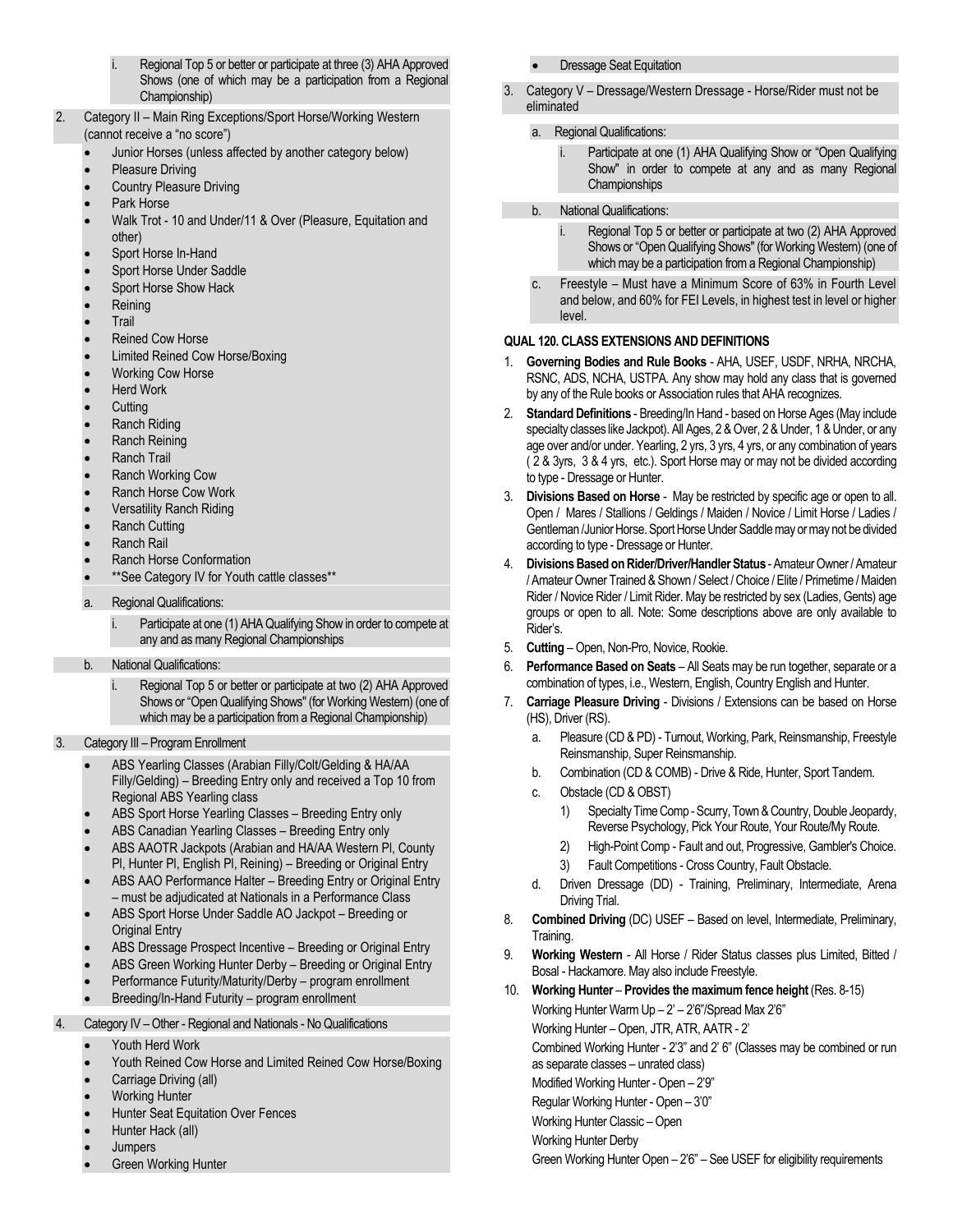- Regional Top 5 or better or participate at three (3) AHA Approved Shows (one of which may be a participation from a Regional Championship)
- 2. Category II Main Ring Exceptions/Sport Horse/Working Western (cannot receive a "no score")
	- Junior Horses (unless affected by another category below)
	- Pleasure Driving
	- Country Pleasure Driving
	- Park Horse
	- Walk Trot 10 and Under/11 & Over (Pleasure, Equitation and other)
	- Sport Horse In-Hand
	- Sport Horse Under Saddle
	- Sport Horse Show Hack
	- Reining
	- **Trail**
	- Reined Cow Horse
	- Limited Reined Cow Horse/Boxing
	- Working Cow Horse
	- **Herd Work**
	- **Cutting**
	- Ranch Riding
	- Ranch Reining
	- Ranch Trail
	- Ranch Working Cow
	- Ranch Horse Cow Work
	- Versatility Ranch Riding
	- Ranch Cutting
	- Ranch Rail
	- Ranch Horse Conformation
	- \*\* See Category IV for Youth cattle classes\*\*
	- a. Regional Qualifications:
		- Participate at one (1) AHA Qualifying Show in order to compete at any and as many Regional Championships
	- b. National Qualifications:
		- i. Regional Top 5 or better or participate at two (2) AHA Approved Shows or "Open Qualifying Shows" (for Working Western) (one of which may be a participation from a Regional Championship)
- 3. Category III Program Enrollment
	- ABS Yearling Classes (Arabian Filly/Colt/Gelding & HA/AA Filly/Gelding) – Breeding Entry only and received a Top 10 from Regional ABS Yearling class
	- ABS Sport Horse Yearling Classes Breeding Entry only
	- ABS Canadian Yearling Classes Breeding Entry only
	- ABS AAOTR Jackpots (Arabian and HA/AA Western Pl, County Pl, Hunter Pl, English Pl, Reining) – Breeding or Original Entry
	- ABS AAO Performance Halter Breeding Entry or Original Entry – must be adjudicated at Nationals in a Performance Class
	- ABS Sport Horse Under Saddle AO Jackpot Breeding or Original Entry
	- ABS Dressage Prospect Incentive Breeding or Original Entry
	- ABS Green Working Hunter Derby Breeding or Original Entry
	- Performance Futurity/Maturity/Derby program enrollment
	- Breeding/In-Hand Futurity program enrollment
- 4. Category IV Other Regional and Nationals No Qualifications
	- Youth Herd Work
	- Youth Reined Cow Horse and Limited Reined Cow Horse/Boxing
	- Carriage Driving (all)
	- **Working Hunter**
	- Hunter Seat Equitation Over Fences
	- Hunter Hack (all)
	- Jumpers
	- **Green Working Hunter**
- Dressage Seat Equitation
- 3. Category V Dressage/Western Dressage Horse/Rider must not be eliminated

## a. Regional Qualifications:

- i. Participate at one (1) AHA Qualifying Show or "Open Qualifying Show" in order to compete at any and as many Regional **Championships**
- b. National Qualifications:
	- i. Regional Top 5 or better or participate at two (2) AHA Approved Shows or "Open Qualifying Shows" (for Working Western) (one of which may be a participation from a Regional Championship)
- c. Freestyle Must have a Minimum Score of 63% in Fourth Level and below, and 60% for FEI Levels, in highest test in level or higher level.

## **QUAL 120. CLASS EXTENSIONS AND DEFINITIONS**

- 1. **Governing Bodies and Rule Books** AHA, USEF, USDF, NRHA, NRCHA, RSNC, ADS, NCHA, USTPA. Any show may hold any class that is governed by any of the Rule books or Association rules that AHA recognizes.
- 2. **Standard Definitions** Breeding/In Hand based on Horse Ages (May include specialty classes like Jackpot). All Ages, 2 & Over, 2 & Under, 1 & Under, or any age over and/or under. Yearling, 2 yrs, 3 yrs, 4 yrs, or any combination of years ( 2 & 3yrs, 3 & 4 yrs, etc.). Sport Horse may or may not be divided according to type - Dressage or Hunter.
- 3. **Divisions Based on Horse** May be restricted by specific age or open to all. Open / Mares / Stallions / Geldings / Maiden / Novice / Limit Horse / Ladies / Gentleman /Junior Horse. Sport Horse Under Saddle may or may not be divided according to type - Dressage or Hunter.
- 4. **Divisions Based on Rider/Driver/Handler Status** Amateur Owner / Amateur / Amateur Owner Trained & Shown / Select / Choice / Elite / Primetime / Maiden Rider / Novice Rider / Limit Rider. May be restricted by sex (Ladies, Gents) age groups or open to all. Note: Some descriptions above are only available to Rider's.
- 5. **Cutting** Open, Non-Pro, Novice, Rookie.
- 6. **Performance Based on Seats** All Seats may be run together, separate or a combination of types, i.e., Western, English, Country English and Hunter.
- 7. **Carriage Pleasure Driving**  Divisions / Extensions can be based on Horse (HS), Driver (RS).
	- a. Pleasure (CD & PD) Turnout, Working, Park, Reinsmanship, Freestyle Reinsmanship, Super Reinsmanship.
	- b. Combination (CD & COMB) Drive & Ride, Hunter, Sport Tandem.
	- c. Obstacle (CD & OBST)
		- 1) Specialty Time Comp -Scurry, Town & Country, Double Jeopardy, Reverse Psychology, Pick Your Route, Your Route/My Route.
		- 2) High-Point Comp Fault and out, Progressive, Gambler's Choice.
		- 3) Fault Competitions Cross Country, Fault Obstacle.
	- d. Driven Dressage (DD) Training, Preliminary, Intermediate, Arena Driving Trial.
- 8. **Combined Driving** (DC) USEF Based on level, Intermediate, Preliminary, Training.
- 9. **Working Western**  All Horse / Rider Status classes plus Limited, Bitted / Bosal - Hackamore. May also include Freestyle.
- 10. **Working Hunter Provides the maximum fence height** (Res. 8-15) Working Hunter Warm  $Up - 2' - 2'6''$ /Spread Max  $2'6''$ Working Hunter – Open, JTR, ATR, AATR - 2' Combined Working Hunter - 2'3" and 2' 6" (Classes may be combined or run as separate classes – unrated class) Modified Working Hunter - Open – 2'9" Regular Working Hunter - Open – 3'0"
	- Working Hunter Classic Open
	- Working Hunter Derby
	- Green Working Hunter Open 2'6" See USEF for eligibility requirements